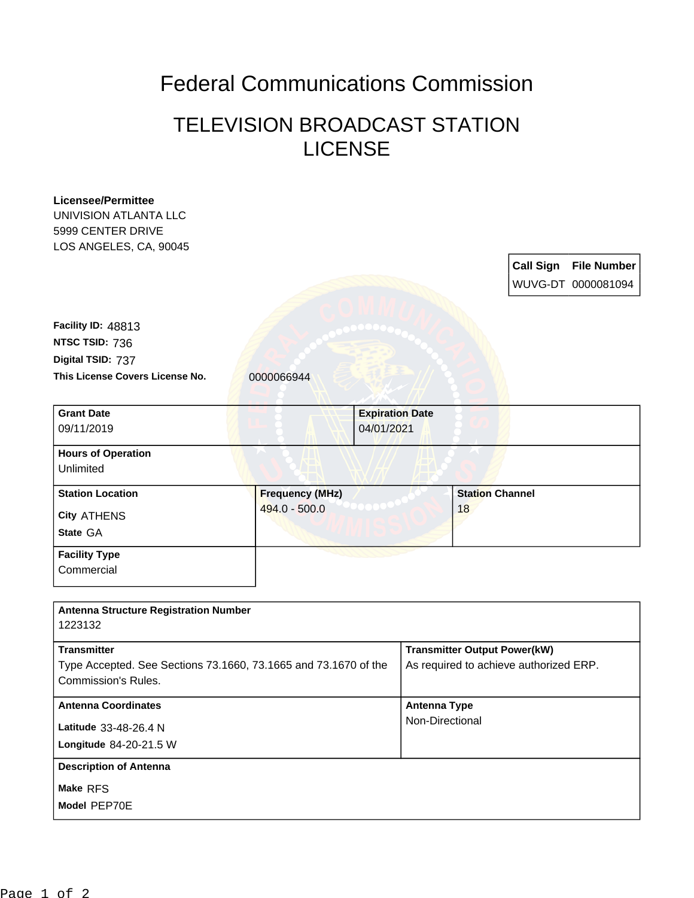## Federal Communications Commission

## TELEVISION BROADCAST STATION LICENSE

| <b>Licensee/Permittee</b>                                       |                                         |                        |                                        |                        |                  |                    |
|-----------------------------------------------------------------|-----------------------------------------|------------------------|----------------------------------------|------------------------|------------------|--------------------|
| UNIVISION ATLANTA LLC                                           |                                         |                        |                                        |                        |                  |                    |
| 5999 CENTER DRIVE                                               |                                         |                        |                                        |                        |                  |                    |
| LOS ANGELES, CA, 90045                                          |                                         |                        |                                        |                        |                  |                    |
|                                                                 |                                         |                        |                                        |                        | <b>Call Sign</b> | <b>File Number</b> |
|                                                                 |                                         |                        |                                        |                        |                  | WUVG-DT 0000081094 |
|                                                                 |                                         |                        |                                        |                        |                  |                    |
| Facility ID: 48813                                              |                                         |                        |                                        |                        |                  |                    |
| NTSC TSID: 736                                                  |                                         |                        |                                        |                        |                  |                    |
|                                                                 |                                         |                        |                                        |                        |                  |                    |
| Digital TSID: 737                                               |                                         |                        |                                        |                        |                  |                    |
| This License Covers License No.                                 | 0000066944                              |                        |                                        |                        |                  |                    |
|                                                                 |                                         |                        |                                        |                        |                  |                    |
| <b>Grant Date</b>                                               |                                         | <b>Expiration Date</b> |                                        |                        |                  |                    |
| 09/11/2019                                                      |                                         | 04/01/2021             |                                        |                        |                  |                    |
| <b>Hours of Operation</b>                                       |                                         |                        |                                        |                        |                  |                    |
| Unlimited                                                       |                                         |                        |                                        |                        |                  |                    |
| <b>Station Location</b>                                         |                                         |                        |                                        | <b>Station Channel</b> |                  |                    |
|                                                                 | <b>Frequency (MHz)</b><br>494.0 - 500.0 |                        |                                        | 18                     |                  |                    |
| <b>City ATHENS</b>                                              |                                         |                        |                                        |                        |                  |                    |
| State GA                                                        |                                         |                        |                                        |                        |                  |                    |
| <b>Facility Type</b>                                            |                                         |                        |                                        |                        |                  |                    |
| Commercial                                                      |                                         |                        |                                        |                        |                  |                    |
|                                                                 |                                         |                        |                                        |                        |                  |                    |
|                                                                 |                                         |                        |                                        |                        |                  |                    |
| <b>Antenna Structure Registration Number</b><br>1223132         |                                         |                        |                                        |                        |                  |                    |
|                                                                 |                                         |                        |                                        |                        |                  |                    |
| <b>Transmitter</b>                                              |                                         |                        | <b>Transmitter Output Power(kW)</b>    |                        |                  |                    |
| Type Accepted. See Sections 73.1660, 73.1665 and 73.1670 of the |                                         |                        | As required to achieve authorized ERP. |                        |                  |                    |
| <b>Commission's Rules.</b>                                      |                                         |                        |                                        |                        |                  |                    |
| <b>Antenna Coordinates</b>                                      |                                         |                        | <b>Antenna Type</b>                    |                        |                  |                    |
| Latitude 33-48-26.4 N                                           |                                         |                        | Non-Directional                        |                        |                  |                    |
|                                                                 |                                         |                        |                                        |                        |                  |                    |
| Longitude 84-20-21.5 W                                          |                                         |                        |                                        |                        |                  |                    |
| <b>Description of Antenna</b>                                   |                                         |                        |                                        |                        |                  |                    |
| Make RFS                                                        |                                         |                        |                                        |                        |                  |                    |
| Model PEP70E                                                    |                                         |                        |                                        |                        |                  |                    |
|                                                                 |                                         |                        |                                        |                        |                  |                    |